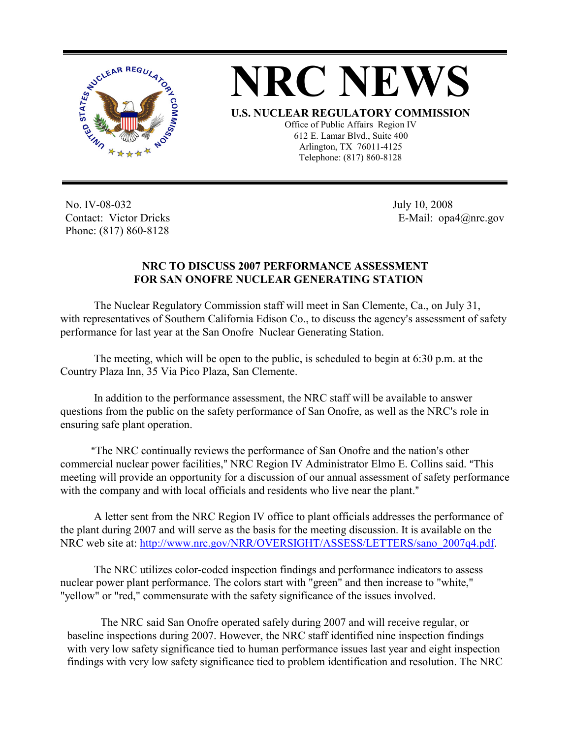



Office of Public Affairs Region IV 612 E. Lamar Blvd., Suite 400 Arlington, TX 76011-4125 Telephone: (817) 860-8128

No. IV-08-032 Contact: Victor Dricks Phone: (817) 860-8128

 July 10, 2008 E-Mail: opa4@nrc.gov

## **NRC TO DISCUSS 2007 PERFORMANCE ASSESSMENT FOR SAN ONOFRE NUCLEAR GENERATING STATION**

The Nuclear Regulatory Commission staff will meet in San Clemente, Ca., on July 31, with representatives of Southern California Edison Co., to discuss the agency's assessment of safety performance for last year at the San Onofre Nuclear Generating Station.

The meeting, which will be open to the public, is scheduled to begin at 6:30 p.m. at the Country Plaza Inn, 35 Via Pico Plaza, San Clemente.

In addition to the performance assessment, the NRC staff will be available to answer questions from the public on the safety performance of San Onofre, as well as the NRC's role in ensuring safe plant operation.

"The NRC continually reviews the performance of San Onofre and the nation's other commercial nuclear power facilities," NRC Region IV Administrator Elmo E. Collins said. "This meeting will provide an opportunity for a discussion of our annual assessment of safety performance with the company and with local officials and residents who live near the plant."

A letter sent from the NRC Region IV office to plant officials addresses the performance of the plant during 2007 and will serve as the basis for the meeting discussion. It is available on the NRC web site at: http://www.nrc.gov/NRR/OVERSIGHT/ASSESS/LETTERS/sano\_2007q4.pdf.

The NRC utilizes color-coded inspection findings and performance indicators to assess nuclear power plant performance. The colors start with "green" and then increase to "white," "yellow" or "red," commensurate with the safety significance of the issues involved.

The NRC said San Onofre operated safely during 2007 and will receive regular, or baseline inspections during 2007. However, the NRC staff identified nine inspection findings with very low safety significance tied to human performance issues last year and eight inspection findings with very low safety significance tied to problem identification and resolution. The NRC